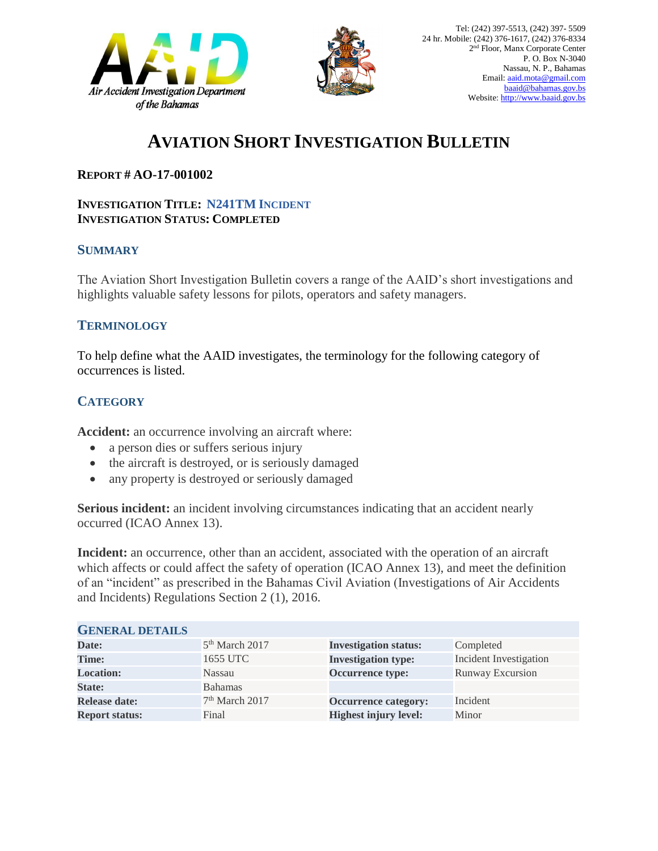



# **AVIATION SHORT INVESTIGATION BULLETIN**

### **REPORT # AO-17-001002**

#### **INVESTIGATION TITLE: N241TM INCIDENT INVESTIGATION STATUS: COMPLETED**

#### **SUMMARY**

The Aviation Short Investigation Bulletin covers a range of the AAID's short investigations and highlights valuable safety lessons for pilots, operators and safety managers.

### **TERMINOLOGY**

To help define what the AAID investigates, the terminology for the following category of occurrences is listed.

## **CATEGORY**

**Accident:** an occurrence involving an aircraft where:

- a person dies or suffers serious injury
- the aircraft is destroyed, or is seriously damaged
- any property is destroyed or seriously damaged

**Serious incident:** an incident involving circumstances indicating that an accident nearly occurred (ICAO Annex 13).

**Incident:** an occurrence, other than an accident, associated with the operation of an aircraft which affects or could affect the safety of operation (ICAO Annex 13), and meet the definition of an "incident" as prescribed in the Bahamas Civil Aviation (Investigations of Air Accidents and Incidents) Regulations Section 2 (1), 2016.

| <b>GENERAL DETAILS</b> |                            |                              |                               |
|------------------------|----------------------------|------------------------------|-------------------------------|
| Date:                  | $5th$ March 2017           | <b>Investigation status:</b> | Completed                     |
| Time:                  | 1655 UTC                   | <b>Investigation type:</b>   | <b>Incident Investigation</b> |
| <b>Location:</b>       | Nassau                     | Occurrence type:             | <b>Runway Excursion</b>       |
| <b>State:</b>          | <b>Bahamas</b>             |                              |                               |
| <b>Release date:</b>   | 7 <sup>th</sup> March 2017 | <b>Occurrence category:</b>  | Incident                      |
| <b>Report status:</b>  | Final                      | <b>Highest injury level:</b> | Minor                         |